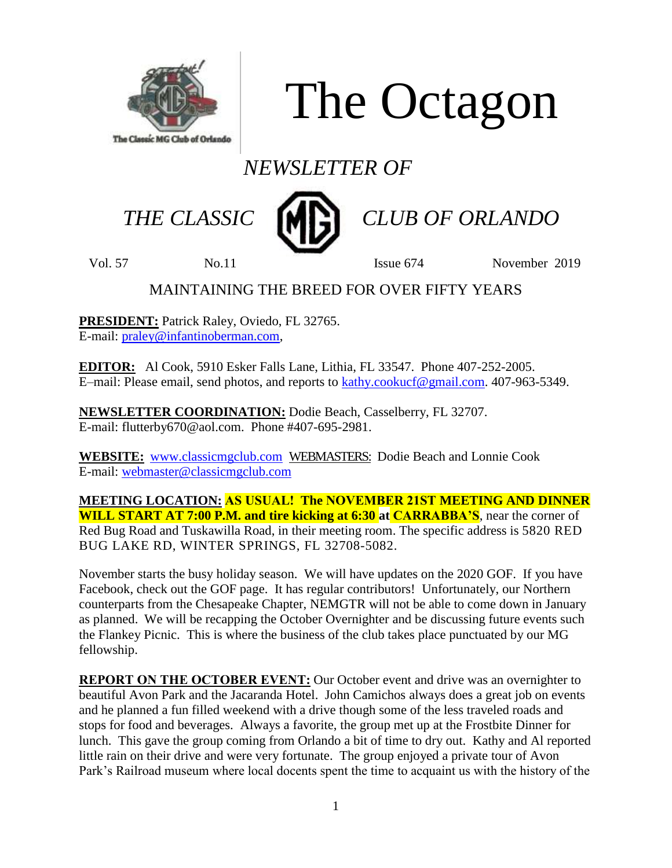

The Octagon

# *NEWSLETTER OF*



 *THE CLASSIC CLUB OF ORLANDO*

Vol. 57 No. 11 No. 11 Issue 674 November 2019

# MAINTAINING THE BREED FOR OVER FIFTY YEARS

**PRESIDENT:** Patrick Raley, Oviedo, FL 32765. E-mail: [praley@infantinoberman.com,](mailto:praley@infantinoberman.com)

**EDITOR:** Al Cook, 5910 Esker Falls Lane, Lithia, FL 33547. Phone 407-252-2005. E–mail: Please email, send photos, and reports to [kathy.cookucf@gmail.com.](mailto:kathy.cookucf@gmail.com) 407-963-5349.

**NEWSLETTER COORDINATION:** Dodie Beach, Casselberry, FL 32707. E-mail: flutterby670@aol.com. Phone #407-695-2981.

**WEBSITE:** [www.classicmgclub.com](http://www.classicmgclub.com/) WEBMASTERS: Dodie Beach and Lonnie Cook E-mail: [webmaster@classicmgclub.com](mailto:webmaster@classicmgclub.com)

**MEETING LOCATION: AS USUAL! The NOVEMBER 21ST MEETING AND DINNER WILL START AT 7:00 P.M. and tire kicking at 6:30 at CARRABBA'S**, near the corner of Red Bug Road and Tuskawilla Road, in their meeting room. The specific address is 5820 RED BUG LAKE RD, WINTER SPRINGS, FL 32708-5082.

November starts the busy holiday season. We will have updates on the 2020 GOF. If you have Facebook, check out the GOF page. It has regular contributors! Unfortunately, our Northern counterparts from the Chesapeake Chapter, NEMGTR will not be able to come down in January as planned. We will be recapping the October Overnighter and be discussing future events such the Flankey Picnic. This is where the business of the club takes place punctuated by our MG fellowship.

**REPORT ON THE OCTOBER EVENT:** Our October event and drive was an overnighter to beautiful Avon Park and the Jacaranda Hotel. John Camichos always does a great job on events and he planned a fun filled weekend with a drive though some of the less traveled roads and stops for food and beverages. Always a favorite, the group met up at the Frostbite Dinner for lunch. This gave the group coming from Orlando a bit of time to dry out. Kathy and Al reported little rain on their drive and were very fortunate. The group enjoyed a private tour of Avon Park's Railroad museum where local docents spent the time to acquaint us with the history of the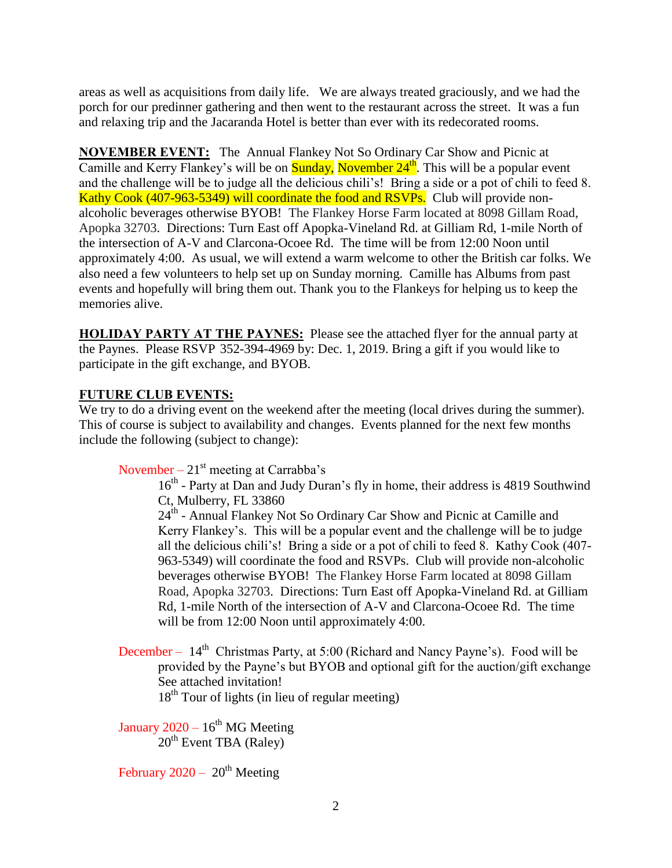areas as well as acquisitions from daily life. We are always treated graciously, and we had the porch for our predinner gathering and then went to the restaurant across the street. It was a fun and relaxing trip and the Jacaranda Hotel is better than ever with its redecorated rooms.

**NOVEMBER EVENT:** The Annual Flankey Not So Ordinary Car Show and Picnic at Camille and Kerry Flankey's will be on **Sunday**, **November**  $24<sup>th</sup>$ . This will be a popular event and the challenge will be to judge all the delicious chili's! Bring a side or a pot of chili to feed 8. Kathy Cook (407-963-5349) will coordinate the food and RSVPs. Club will provide nonalcoholic beverages otherwise BYOB! The Flankey Horse Farm located at 8098 Gillam Road, Apopka 32703. Directions: Turn East off Apopka-Vineland Rd. at Gilliam Rd, 1-mile North of the intersection of A-V and Clarcona-Ocoee Rd. The time will be from 12:00 Noon until approximately 4:00. As usual, we will extend a warm welcome to other the British car folks. We also need a few volunteers to help set up on Sunday morning. Camille has Albums from past events and hopefully will bring them out. Thank you to the Flankeys for helping us to keep the memories alive.

**HOLIDAY PARTY AT THE PAYNES:** Please see the attached flyer for the annual party at the Paynes. Please RSVP 352-394-4969 by: Dec. 1, 2019. Bring a gift if you would like to participate in the gift exchange, and BYOB.

# **FUTURE CLUB EVENTS:**

We try to do a driving event on the weekend after the meeting (local drives during the summer). This of course is subject to availability and changes. Events planned for the next few months include the following (subject to change):

November –  $21<sup>st</sup>$  meeting at Carrabba's

16<sup>th</sup> - Party at Dan and Judy Duran's fly in home, their address is 4819 Southwind Ct, Mulberry, FL 33860

24<sup>th</sup> - Annual Flankey Not So Ordinary Car Show and Picnic at Camille and Kerry Flankey's. This will be a popular event and the challenge will be to judge all the delicious chili's! Bring a side or a pot of chili to feed 8. Kathy Cook (407- 963-5349) will coordinate the food and RSVPs. Club will provide non-alcoholic beverages otherwise BYOB! The Flankey Horse Farm located at 8098 Gillam Road, Apopka 32703. Directions: Turn East off Apopka-Vineland Rd. at Gilliam Rd, 1-mile North of the intersection of A-V and Clarcona-Ocoee Rd. The time will be from 12:00 Noon until approximately 4:00.

December –  $14<sup>th</sup>$  Christmas Party, at 5:00 (Richard and Nancy Payne's). Food will be provided by the Payne's but BYOB and optional gift for the auction/gift exchange See attached invitation!  $18<sup>th</sup>$  Tour of lights (in lieu of regular meeting)

January 2020 –  $16^{th}$  MG Meeting  $20<sup>th</sup>$  Event TBA (Raley)

February 2020 –  $20^{th}$  Meeting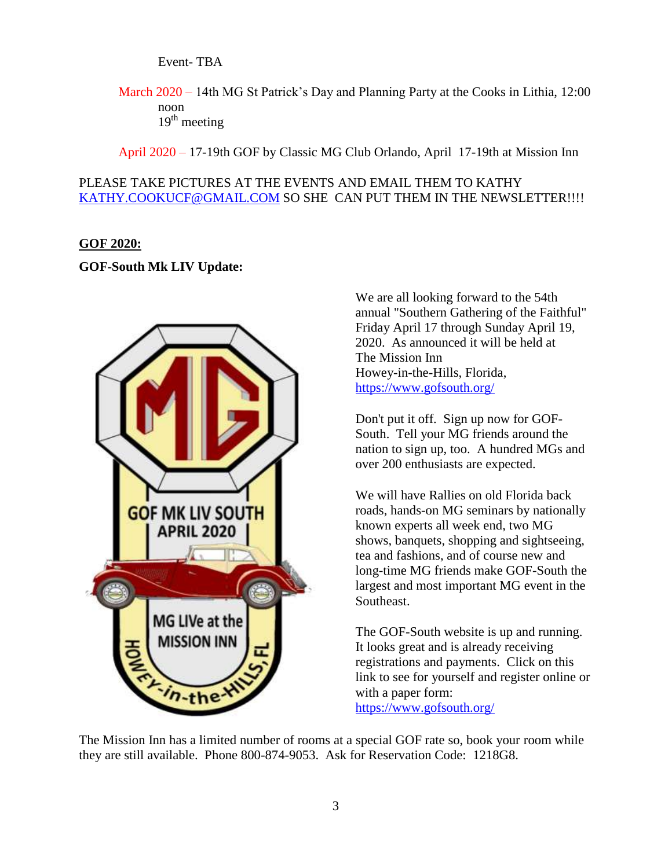Event- TBA

March 2020 – 14th MG St Patrick's Day and Planning Party at the Cooks in Lithia, 12:00 noon  $19<sup>th</sup>$  meeting

April 2020 – 17-19th GOF by Classic MG Club Orlando, April 17-19th at Mission Inn

### PLEASE TAKE PICTURES AT THE EVENTS AND EMAIL THEM TO KATHY [KATHY.COOKUCF@GMAIL.COM](mailto:Kathy.cookucf@gmail.com) SO SHE CAN PUT THEM IN THE NEWSLETTER!!!!

#### **GOF 2020:**

#### **GOF-South Mk LIV Update:**



We are all looking forward to the 54th annual "Southern Gathering of the Faithful" Friday April 17 through Sunday April 19, 2020. As announced it will be held at The Mission Inn Howey-in-the-Hills, Florida, <https://www.gofsouth.org/>

Don't put it off. Sign up now for GOF-South. Tell your MG friends around the nation to sign up, too. A hundred MGs and over 200 enthusiasts are expected.

We will have Rallies on old Florida back roads, hands-on MG seminars by nationally known experts all week end, two MG shows, banquets, shopping and sightseeing, tea and fashions, and of course new and long-time MG friends make GOF-South the largest and most important MG event in the Southeast.

The GOF-South website is up and running. It looks great and is already receiving registrations and payments. Click on this link to see for yourself and register online or with a paper form: <https://www.gofsouth.org/>

The Mission Inn has a limited number of rooms at a special GOF rate so, book your room while they are still available. Phone 800-874-9053. Ask for Reservation Code: 1218G8.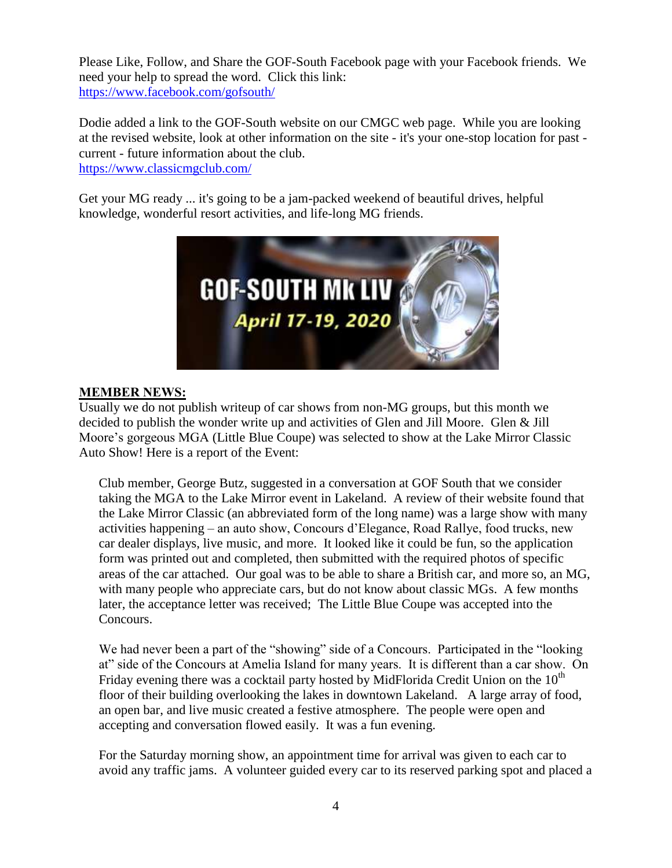Please Like, Follow, and Share the GOF-South Facebook page with your Facebook friends. We need your help to spread the word. Click this link: <https://www.facebook.com/gofsouth/>

Dodie added a link to the GOF-South website on our CMGC web page. While you are looking at the revised website, look at other information on the site - it's your one-stop location for past current - future information about the club.

<https://www.classicmgclub.com/>

Get your MG ready ... it's going to be a jam-packed weekend of beautiful drives, helpful knowledge, wonderful resort activities, and life-long MG friends.



# **MEMBER NEWS:**

Usually we do not publish writeup of car shows from non-MG groups, but this month we decided to publish the wonder write up and activities of Glen and Jill Moore. Glen & Jill Moore's gorgeous MGA (Little Blue Coupe) was selected to show at the Lake Mirror Classic Auto Show! Here is a report of the Event:

Club member, George Butz, suggested in a conversation at GOF South that we consider taking the MGA to the Lake Mirror event in Lakeland. A review of their website found that the Lake Mirror Classic (an abbreviated form of the long name) was a large show with many activities happening – an auto show, Concours d'Elegance, Road Rallye, food trucks, new car dealer displays, live music, and more. It looked like it could be fun, so the application form was printed out and completed, then submitted with the required photos of specific areas of the car attached. Our goal was to be able to share a British car, and more so, an MG, with many people who appreciate cars, but do not know about classic MGs. A few months later, the acceptance letter was received; The Little Blue Coupe was accepted into the Concours.

We had never been a part of the "showing" side of a Concours. Participated in the "looking" at" side of the Concours at Amelia Island for many years. It is different than a car show. On Friday evening there was a cocktail party hosted by MidFlorida Credit Union on the  $10<sup>th</sup>$ floor of their building overlooking the lakes in downtown Lakeland. A large array of food, an open bar, and live music created a festive atmosphere. The people were open and accepting and conversation flowed easily. It was a fun evening.

For the Saturday morning show, an appointment time for arrival was given to each car to avoid any traffic jams. A volunteer guided every car to its reserved parking spot and placed a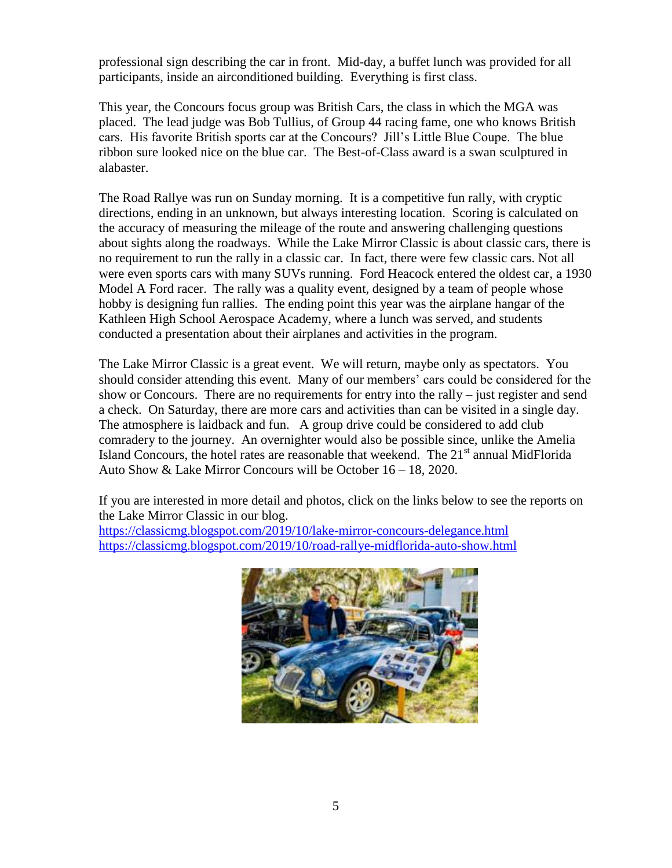professional sign describing the car in front. Mid-day, a buffet lunch was provided for all participants, inside an airconditioned building. Everything is first class.

This year, the Concours focus group was British Cars, the class in which the MGA was placed. The lead judge was Bob Tullius, of Group 44 racing fame, one who knows British cars. His favorite British sports car at the Concours? Jill's Little Blue Coupe. The blue ribbon sure looked nice on the blue car. The Best-of-Class award is a swan sculptured in alabaster.

The Road Rallye was run on Sunday morning. It is a competitive fun rally, with cryptic directions, ending in an unknown, but always interesting location. Scoring is calculated on the accuracy of measuring the mileage of the route and answering challenging questions about sights along the roadways. While the Lake Mirror Classic is about classic cars, there is no requirement to run the rally in a classic car. In fact, there were few classic cars. Not all were even sports cars with many SUVs running. Ford Heacock entered the oldest car, a 1930 Model A Ford racer. The rally was a quality event, designed by a team of people whose hobby is designing fun rallies. The ending point this year was the airplane hangar of the Kathleen High School Aerospace Academy, where a lunch was served, and students conducted a presentation about their airplanes and activities in the program.

The Lake Mirror Classic is a great event. We will return, maybe only as spectators. You should consider attending this event. Many of our members' cars could be considered for the show or Concours. There are no requirements for entry into the rally – just register and send a check. On Saturday, there are more cars and activities than can be visited in a single day. The atmosphere is laidback and fun. A group drive could be considered to add club comradery to the journey. An overnighter would also be possible since, unlike the Amelia Island Concours, the hotel rates are reasonable that weekend. The  $21<sup>st</sup>$  annual MidFlorida Auto Show & Lake Mirror Concours will be October 16 – 18, 2020.

If you are interested in more detail and photos, click on the links below to see the reports on the Lake Mirror Classic in our blog.

<https://classicmg.blogspot.com/2019/10/lake-mirror-concours-delegance.html> <https://classicmg.blogspot.com/2019/10/road-rallye-midflorida-auto-show.html>

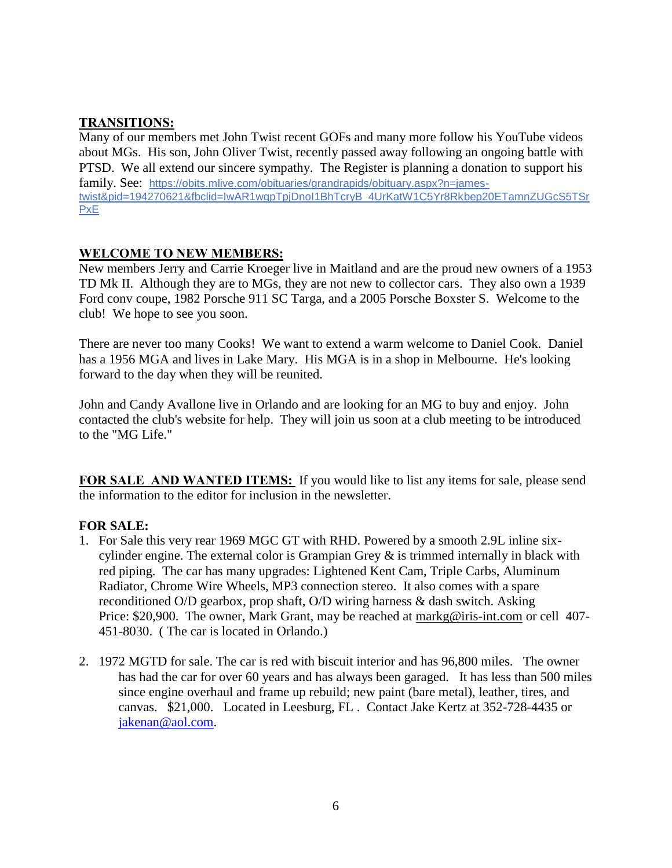# **TRANSITIONS:**

Many of our members met John Twist recent GOFs and many more follow his YouTube videos about MGs. His son, John Oliver Twist, recently passed away following an ongoing battle with PTSD. We all extend our sincere sympathy. The Register is planning a donation to support his family. See: [https://obits.mlive.com/obituaries/grandrapids/obituary.aspx?n=james](https://obits.mlive.com/obituaries/grandrapids/obituary.aspx?n=james-twist&pid=194270621&fbclid=IwAR1wgpTpjDnoI1BhTcryB_4UrKatW1C5Yr8Rkbep20ETamnZUGcS5TSrPxE)[twist&pid=194270621&fbclid=IwAR1wgpTpjDnoI1BhTcryB\\_4UrKatW1C5Yr8Rkbep20ETamnZUGcS5TSr](https://obits.mlive.com/obituaries/grandrapids/obituary.aspx?n=james-twist&pid=194270621&fbclid=IwAR1wgpTpjDnoI1BhTcryB_4UrKatW1C5Yr8Rkbep20ETamnZUGcS5TSrPxE) **[PxE](https://obits.mlive.com/obituaries/grandrapids/obituary.aspx?n=james-twist&pid=194270621&fbclid=IwAR1wgpTpjDnoI1BhTcryB_4UrKatW1C5Yr8Rkbep20ETamnZUGcS5TSrPxE)** 

# **WELCOME TO NEW MEMBERS:**

New members Jerry and Carrie Kroeger live in Maitland and are the proud new owners of a 1953 TD Mk II. Although they are to MGs, they are not new to collector cars. They also own a 1939 Ford conv coupe, 1982 Porsche 911 SC Targa, and a 2005 Porsche Boxster S. Welcome to the club! We hope to see you soon.

There are never too many Cooks! We want to extend a warm welcome to Daniel Cook. Daniel has a 1956 MGA and lives in Lake Mary. His MGA is in a shop in Melbourne. He's looking forward to the day when they will be reunited.

John and Candy Avallone live in Orlando and are looking for an MG to buy and enjoy. John contacted the club's website for help. They will join us soon at a club meeting to be introduced to the "MG Life."

**FOR SALE AND WANTED ITEMS:** If you would like to list any items for sale, please send the information to the editor for inclusion in the newsletter.

# **FOR SALE:**

- 1. For Sale this very rear 1969 MGC GT with RHD. Powered by a smooth 2.9L inline sixcylinder engine. The external color is Grampian Grey  $\&$  is trimmed internally in black with red piping. The car has many upgrades: Lightened Kent Cam, Triple Carbs, Aluminum Radiator, Chrome Wire Wheels, MP3 connection stereo. It also comes with a spare reconditioned O/D gearbox, prop shaft, O/D wiring harness & dash switch. Asking Price: \$20,900. The owner, Mark Grant, may be reached at [markg@iris-int.com](mailto:markg@iris-int.com) or cell 407-451-8030. ( The car is located in Orlando.)
- 2. 1972 MGTD for sale. The car is red with biscuit interior and has 96,800 miles. The owner has had the car for over 60 years and has always been garaged. It has less than 500 miles since engine overhaul and frame up rebuild; new paint (bare metal), leather, tires, and canvas. \$21,000. Located in Leesburg, FL . Contact Jake Kertz at 352-728-4435 or [jakenan@aol.com.](mailto:jakenan@aol.com)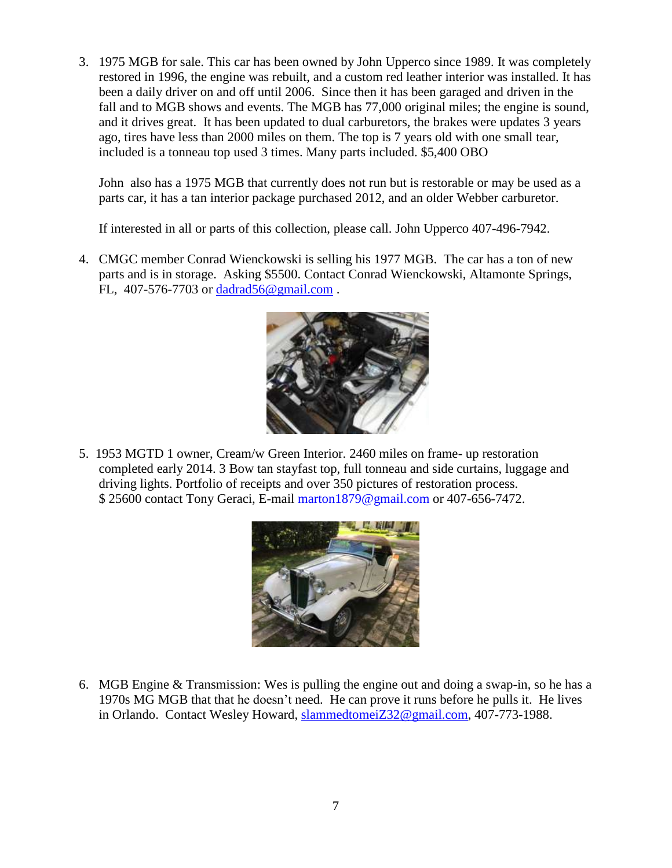3. 1975 MGB for sale. This car has been owned by John Upperco since 1989. It was completely restored in 1996, the engine was rebuilt, and a custom red leather interior was installed. It has been a daily driver on and off until 2006. Since then it has been garaged and driven in the fall and to MGB shows and events. The MGB has 77,000 original miles; the engine is sound, and it drives great. It has been updated to dual carburetors, the brakes were updates 3 years ago, tires have less than 2000 miles on them. The top is 7 years old with one small tear, included is a tonneau top used 3 times. Many parts included. \$5,400 OBO

John also has a 1975 MGB that currently does not run but is restorable or may be used as a parts car, it has a tan interior package purchased 2012, and an older Webber carburetor.

If interested in all or parts of this collection, please call. John Upperco 407-496-7942.

4. CMGC member Conrad Wienckowski is selling his 1977 MGB. The car has a ton of new parts and is in storage. Asking \$5500. Contact Conrad Wienckowski, Altamonte Springs, FL, 407-576-7703 or [dadrad56@gmail.com](mailto:dadrad56@gmail.com) .



5. 1953 MGTD 1 owner, Cream/w Green Interior. 2460 miles on frame- up restoration completed early 2014. 3 Bow tan stayfast top, full tonneau and side curtains, luggage and driving lights. Portfolio of receipts and over 350 pictures of restoration process. \$ 25600 contact Tony Geraci, E-mail marton1879@gmail.com or 407-656-7472.



6. MGB Engine & Transmission: Wes is pulling the engine out and doing a swap-in, so he has a 1970s MG MGB that that he doesn't need. He can prove it runs before he pulls it. He lives in Orlando. Contact Wesley Howard, [slammedtomeiZ32@gmail.com,](mailto:slammedtomeiZ32@gmail.com) 407-773-1988.